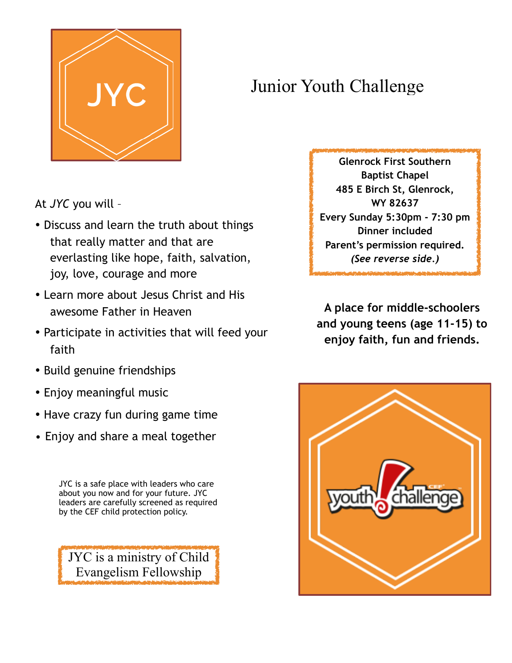

## Junior Youth Challenge

At *JYC* you will –

- Discuss and learn the truth about things that really matter and that are everlasting like hope, faith, salvation, joy, love, courage and more
- Learn more about Jesus Christ and His awesome Father in Heaven
- Participate in activities that will feed your faith
- Build genuine friendships
- Enjoy meaningful music
- Have crazy fun during game time
- Enjoy and share a meal together

JYC is a safe place with leaders who care about you now and for your future. JYC leaders are carefully screened as required by the CEF child protection policy.

JYC is a ministry of Child Evangelism Fellowship

**Glenrock First Southern Baptist Chapel 485 E Birch St, Glenrock, WY 82637 Every Sunday 5:30pm - 7:30 pm Dinner included Parent's permission required.** *(See reverse side.)*

**A place for middle-schoolers and young teens (age 11-15) to enjoy faith, fun and friends.**